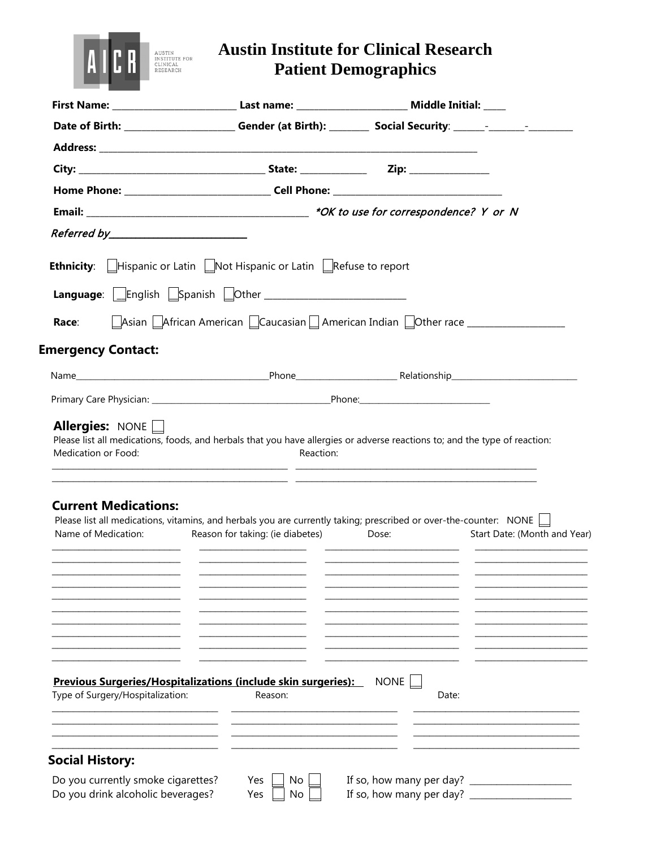

## **Austin Institute for Clinical Research Patient Demographics**

| Date of Birth: ________________________Gender (at Birth): ___________ Social Security: ______-________________                                                                 |                                                                                  |                      |                              |
|--------------------------------------------------------------------------------------------------------------------------------------------------------------------------------|----------------------------------------------------------------------------------|----------------------|------------------------------|
|                                                                                                                                                                                |                                                                                  |                      |                              |
|                                                                                                                                                                                |                                                                                  |                      |                              |
|                                                                                                                                                                                |                                                                                  |                      |                              |
|                                                                                                                                                                                |                                                                                  |                      |                              |
|                                                                                                                                                                                |                                                                                  |                      |                              |
| <b>Ethnicity:</b> $\Box$ Hispanic or Latin $\Box$ Not Hispanic or Latin $\Box$ Refuse to report                                                                                |                                                                                  |                      |                              |
|                                                                                                                                                                                |                                                                                  |                      |                              |
|                                                                                                                                                                                |                                                                                  |                      |                              |
| Race:                                                                                                                                                                          | Asian African American Caucasian American Indian Other race ____________________ |                      |                              |
| <b>Emergency Contact:</b>                                                                                                                                                      |                                                                                  |                      |                              |
|                                                                                                                                                                                |                                                                                  |                      |                              |
|                                                                                                                                                                                |                                                                                  |                      |                              |
| <b>Current Medications:</b><br>Please list all medications, vitamins, and herbals you are currently taking; prescribed or over-the-counter: NONE $\Box$<br>Name of Medication: | Reason for taking: (ie diabetes) Dose:                                           |                      |                              |
|                                                                                                                                                                                |                                                                                  |                      | Start Date: (Month and Year) |
|                                                                                                                                                                                |                                                                                  |                      |                              |
|                                                                                                                                                                                |                                                                                  |                      |                              |
|                                                                                                                                                                                |                                                                                  |                      |                              |
|                                                                                                                                                                                |                                                                                  |                      |                              |
|                                                                                                                                                                                |                                                                                  |                      |                              |
|                                                                                                                                                                                |                                                                                  |                      |                              |
|                                                                                                                                                                                |                                                                                  |                      |                              |
| Previous Surgeries/Hospitalizations (include skin surgeries):<br>Type of Surgery/Hospitalization:                                                                              | Reason:                                                                          | <b>NONE</b><br>Date: |                              |
|                                                                                                                                                                                |                                                                                  |                      |                              |
|                                                                                                                                                                                |                                                                                  |                      |                              |
| <b>Social History:</b>                                                                                                                                                         |                                                                                  |                      |                              |